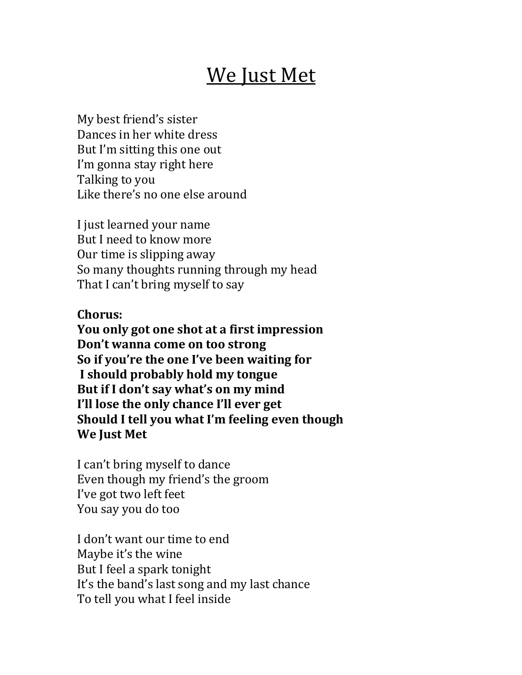## We Just Met

My best friend's sister Dances in her white dress But I'm sitting this one out I'm gonna stay right here Talking to you Like there's no one else around

I just learned your name But I need to know more Our time is slipping away So many thoughts running through my head That I can't bring myself to say

**Chorus:**

**You only got one shot at a first impression Don't wanna come on too strong** So if you're the one I've been waiting for **I should probably hold my tongue** But if I don't say what's on my mind **I'll lose the only chance I'll ever get Should I tell you what I'm feeling even though** We **Just Met** 

I can't bring myself to dance Even though my friend's the groom I've got two left feet You say you do too

I don't want our time to end Maybe it's the wine But I feel a spark tonight It's the band's last song and my last chance To tell you what I feel inside